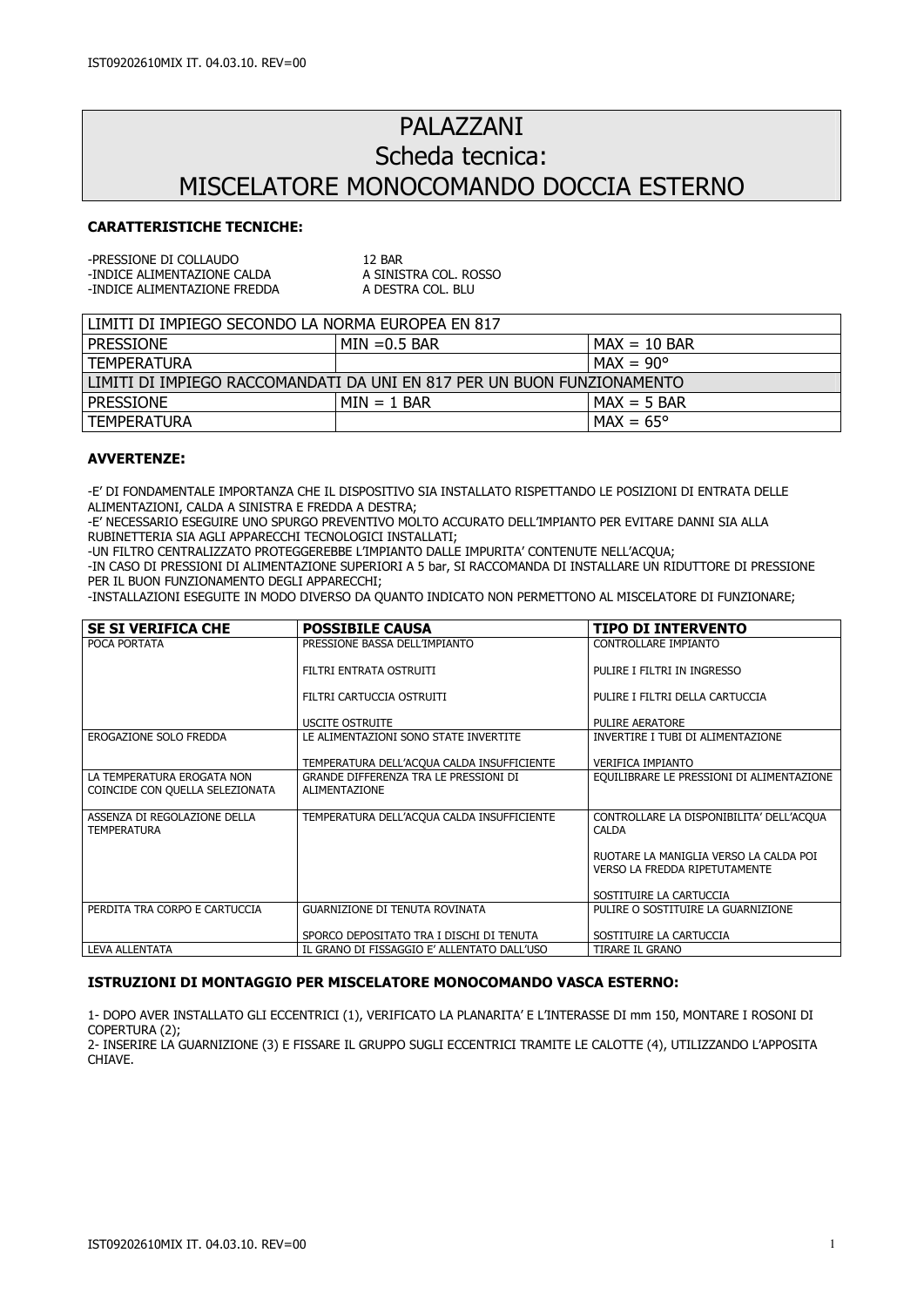# PALAZZANI Scheda tecnica: MISCELATORE MONOCOMANDO DOCCIA ESTERNO

## CARATTERISTICHE TECNICHE:

| -PRESSIONE DI COLLAUDO       | 12 BAR                |
|------------------------------|-----------------------|
| -INDICE ALIMENTAZIONE CALDA  | A SINISTRA COL. ROSSO |
| -INDICE ALIMENTAZIONE FREDDA | A DESTRA COL. BLU     |

| l limiti di impiego secondo la norma Europea en 817                      |                 |                                 |  |
|--------------------------------------------------------------------------|-----------------|---------------------------------|--|
| <b>PRESSIONE</b>                                                         | $MIN = 0.5 BAR$ | $MAX = 10$ BAR                  |  |
| I TEMPERATURA                                                            |                 | $\mathsf{IMAX} = 90^\mathsf{o}$ |  |
| l limiti di Impiego Raccomandati da uni en 817 per un buon funzionamento |                 |                                 |  |
| <b>PRESSIONE</b>                                                         | $MIN = 1$ BAR   | $MAX = 5$ BAR                   |  |
| I TEMPERATURA                                                            |                 | $MAX = 65^{\circ}$              |  |

#### AVVERTENZE:

-E' DI FONDAMENTALE IMPORTANZA CHE IL DISPOSITIVO SIA INSTALLATO RISPETTANDO LE POSIZIONI DI ENTRATA DELLE ALIMENTAZIONI, CALDA A SINISTRA E FREDDA A DESTRA;

-E' NECESSARIO ESEGUIRE UNO SPURGO PREVENTIVO MOLTO ACCURATO DELL'IMPIANTO PER EVITARE DANNI SIA ALLA RUBINETTERIA SIA AGLI APPARECCHI TECNOLOGICI INSTALLATI;

-UN FILTRO CENTRALIZZATO PROTEGGEREBBE L'IMPIANTO DALLE IMPURITA' CONTENUTE NELL'ACQUA;

-IN CASO DI PRESSIONI DI ALIMENTAZIONE SUPERIORI A 5 bar, SI RACCOMANDA DI INSTALLARE UN RIDUTTORE DI PRESSIONE PER IL BUON FUNZIONAMENTO DEGLI APPARECCHI;

-INSTALLAZIONI ESEGUITE IN MODO DIVERSO DA QUANTO INDICATO NON PERMETTONO AL MISCELATORE DI FUNZIONARE;

| <b>SE SI VERIFICA CHE</b>                          | <b>POSSIBILE CAUSA</b>                                 | TIPO DI INTERVENTO                                                      |
|----------------------------------------------------|--------------------------------------------------------|-------------------------------------------------------------------------|
| POCA PORTATA                                       | PRESSIONE BASSA DELL'IMPIANTO                          | CONTROLLARE IMPIANTO                                                    |
|                                                    | FILTRI ENTRATA OSTRUITI                                | PULIRE I FILTRI IN INGRESSO                                             |
|                                                    | FILTRI CARTUCCIA OSTRUITI                              | PULIRE I FILTRI DELLA CARTUCCIA                                         |
|                                                    | <b>USCITE OSTRUITE</b>                                 | PULIRE AERATORE                                                         |
| EROGAZIONE SOLO FREDDA                             | LE ALIMENTAZIONI SONO STATE INVERTITE                  | INVERTIRE I TUBI DI ALIMENTAZIONE                                       |
|                                                    | TEMPERATURA DELL'ACQUA CALDA INSUFFICIENTE             | <b>VERIFICA IMPIANTO</b>                                                |
| LA TEMPERATURA EROGATA NON                         | GRANDE DIFFERENZA TRA LE PRESSIONI DI<br>ALIMENTAZIONE | EQUILIBRARE LE PRESSIONI DI ALIMENTAZIONE                               |
| COINCIDE CON QUELLA SELEZIONATA                    |                                                        |                                                                         |
| ASSENZA DI REGOLAZIONE DELLA<br><b>TEMPERATURA</b> | TEMPERATURA DELL'ACQUA CALDA INSUFFICIENTE             | CONTROLLARE LA DISPONIBILITA' DELL'ACQUA<br><b>CALDA</b>                |
|                                                    |                                                        | RUOTARE LA MANIGLIA VERSO LA CALDA POI<br>VERSO LA FREDDA RIPETUTAMENTE |
|                                                    |                                                        | SOSTITUIRE LA CARTUCCIA                                                 |
| PERDITA TRA CORPO E CARTUCCIA                      | <b>GUARNIZIONE DI TENUTA ROVINATA</b>                  | PULIRE O SOSTITUIRE LA GUARNIZIONE                                      |
|                                                    | SPORCO DEPOSITATO TRA I DISCHI DI TENUTA               | SOSTITUIRE LA CARTUCCIA                                                 |
| LEVA ALLENTATA                                     | IL GRANO DI FISSAGGIO E' ALLENTATO DALL'USO            | <b>TIRARE IL GRANO</b>                                                  |

#### ISTRUZIONI DI MONTAGGIO PER MISCELATORE MONOCOMANDO VASCA ESTERNO:

1- DOPO AVER INSTALLATO GLI ECCENTRICI (1), VERIFICATO LA PLANARITA' E L'INTERASSE DI mm 150, MONTARE I ROSONI DI COPERTURA (2);

2- INSERIRE LA GUARNIZIONE (3) E FISSARE IL GRUPPO SUGLI ECCENTRICI TRAMITE LE CALOTTE (4), UTILIZZANDO L'APPOSITA **CHIAVE**